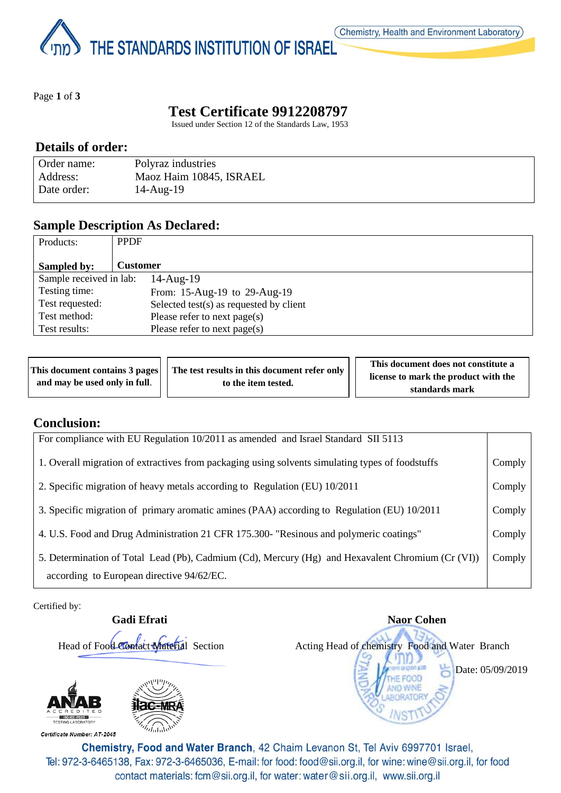THE STANDARDS INSTITUTION OF ISRAEL

Page **1** of **3**

# **Test Certificate 9912208797**

Issued under Section 12 of the Standards Law, 1953

### **Details of order:**

| Order name: | Polyraz industries      |
|-------------|-------------------------|
| Address:    | Maoz Haim 10845, ISRAEL |
| Date order: | $14$ -Aug- $19$         |

## **Sample Description As Declared:**

| Products:               | <b>PPDF</b>                             |  |
|-------------------------|-----------------------------------------|--|
| Sampled by:             | <b>Customer</b>                         |  |
| Sample received in lab: | $14$ -Aug- $19$                         |  |
| Testing time:           | From: 15-Aug-19 to 29-Aug-19            |  |
| Test requested:         | Selected test(s) as requested by client |  |
| Test method:            | Please refer to next page(s)            |  |
| Test results:           | Please refer to next page(s)            |  |

|  | This document contains 3 pages   The test results in this document refer only<br>and may be used only in full.<br>to the item tested. | This document does not constitute a  |
|--|---------------------------------------------------------------------------------------------------------------------------------------|--------------------------------------|
|  |                                                                                                                                       | license to mark the product with the |
|  |                                                                                                                                       | standards mark                       |

## **Conclusion:**

| For compliance with EU Regulation 10/2011 as amended and Israel Standard SII 5113                                                              |        |
|------------------------------------------------------------------------------------------------------------------------------------------------|--------|
| 1. Overall migration of extractives from packaging using solvents simulating types of foodstuffs                                               | Comply |
| 2. Specific migration of heavy metals according to Regulation (EU) 10/2011                                                                     | Comply |
| 3. Specific migration of primary aromatic amines (PAA) according to Regulation (EU) 10/2011                                                    | Comply |
| 4. U.S. Food and Drug Administration 21 CFR 175.300- "Resinous and polymeric coatings"                                                         | Comply |
| 5. Determination of Total Lead (Pb), Cadmium (Cd), Mercury (Hg) and Hexavalent Chromium (Cr (VI))<br>according to European directive 94/62/EC. | Comply |

Certified by:



**Gadi Efrati** Naor Cohen Head of Food Contact Material Section Acting Head of chemistry Food and Water Branch Date: 05/09/2019

Chemistry, Food and Water Branch, 42 Chaim Levanon St, Tel Aviv 6997701 Israel, Tel: 972-3-6465138, Fax: 972-3-6465036, E-mail: for food: food@sii.org.il, for wine: wine@sii.org.il, for food contact materials: fcm@sii.org.il, for water: water@sii.org.il, www.sii.org.il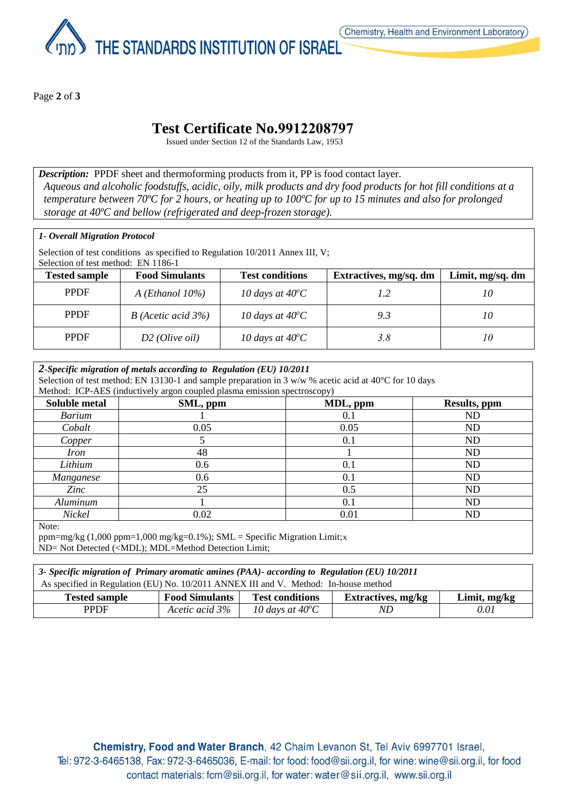

Page **2** of **3**

## **Test Certificate No.9912208797**

Issued under Section 12 of the Standards Law, 1953

*Description:* PPDF sheet and thermoforming products from it, PP is food contact layer. *Aqueous and alcoholic foodstuffs, acidic, oily, milk products and dry food products for hot fill conditions at a temperature between 70ºC for 2 hours, or heating up to 100ºC for up to 15 minutes and also for prolonged storage at 40ºC and bellow (refrigerated and deep-frozen storage).*

#### *1- Overall Migration Protocol*

Selection of test conditions as specified to Regulation 10/2011 Annex III, V; Selection of test method: EN 1186-1

| <b>Tested sample</b> | <b>Food Simulants</b>     | <b>Test conditions</b>    | Extractives, mg/sq. dm | Limit, mg/sq. dm |
|----------------------|---------------------------|---------------------------|------------------------|------------------|
| <b>PPDF</b>          | A (Ethanol $10\%$ )       | 10 days at $40^{\circ}$ C | 1.2                    | 10               |
| <b>PPDF</b>          | $B$ (Acetic acid 3%)      | 10 days at $40^{\circ}$ C | 9.3                    | 10               |
| <b>PPDF</b>          | $D2$ ( <i>Olive oil</i> ) | 10 days at $40^{\circ}$ C | 3.8                    | 10               |

#### *2-Specific migration of metals according to Regulation (EU) 10/2011* Selection of test method: EN 13130-1 and sample preparation in 3  $w/w$  % acetic acid at 40<sup>o</sup>C for 10 days Method: ICP-AES (inductively argon coupled plasma emission spectroscopy) **Soluble metal SML, ppm Results, ppm Results, ppm** *Barium* 1 1 0.1 ND *Cobalt* 0.05 0.05 ND *Copper* 1 5 5 0.1 ND *Iron* 1 ND *Lithium* 0.6 0.1 ND *Manganese* 1 0.6 0.1 1 ND *Zinc* 25 0.5 ND *Aluminum* 1 0.1 ND *Nickel* 0.02 0.01 ND Note: ppm=mg/kg  $(1,000 \text{ ppm}=1,000 \text{ mg/kg}=0.1\%)$ ; SML = Specific Migration Limit;x ND= Not Detected (<MDL); MDL=Method Detection Limit;

*3- Specific migration of Primary aromatic amines (PAA)- according to Regulation (EU) 10/2011* As specified in Regulation (EU) No. 10/2011 ANNEX III and V. Method: In-house method **Tested sample Food Simulants Test conditions Extractives, mg/kg Limit, mg/kg PPDF** *Acetic acid 3% C LO days at 40<sup>°</sup>C <i>ND 0.01*